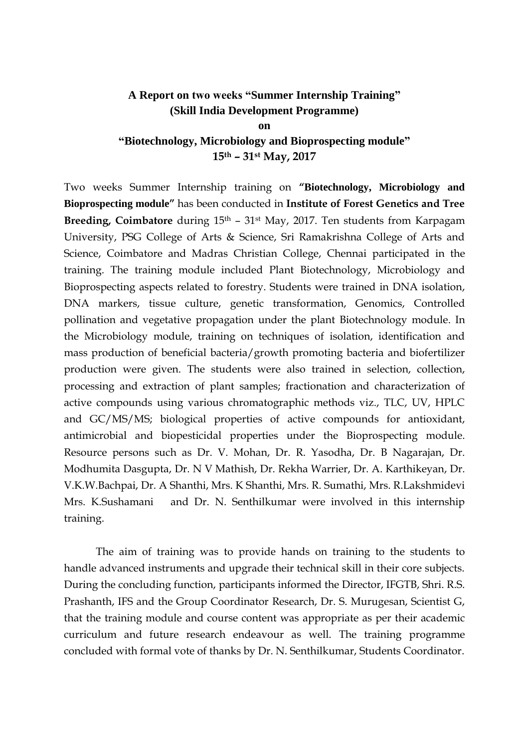## **A Report on two weeks "Summer Internship Training" (Skill India Development Programme)**

**on "Biotechnology, Microbiology and Bioprospecting module" 15th – 31st May, 2017**

Two weeks Summer Internship training on **"Biotechnology, Microbiology and Bioprospecting module"** has been conducted in **Institute of Forest Genetics and Tree Breeding, Coimbatore** during 15<sup>th</sup> – 31<sup>st</sup> May, 2017. Ten students from Karpagam University, PSG College of Arts & Science, Sri Ramakrishna College of Arts and Science, Coimbatore and Madras Christian College, Chennai participated in the training. The training module included Plant Biotechnology, Microbiology and Bioprospecting aspects related to forestry. Students were trained in DNA isolation, DNA markers, tissue culture, genetic transformation, Genomics, Controlled pollination and vegetative propagation under the plant Biotechnology module. In the Microbiology module, training on techniques of isolation, identification and mass production of beneficial bacteria/growth promoting bacteria and biofertilizer production were given. The students were also trained in selection, collection, processing and extraction of plant samples; fractionation and characterization of active compounds using various chromatographic methods viz., TLC, UV, HPLC and GC/MS/MS; biological properties of active compounds for antioxidant, antimicrobial and biopesticidal properties under the Bioprospecting module. Resource persons such as Dr. V. Mohan, Dr. R. Yasodha, Dr. B Nagarajan, Dr. Modhumita Dasgupta, Dr. N V Mathish, Dr. Rekha Warrier, Dr. A. Karthikeyan, Dr. V.K.W.Bachpai, Dr. A Shanthi, Mrs. K Shanthi, Mrs. R. Sumathi, Mrs. R.Lakshmidevi Mrs. K.Sushamani and Dr. N. Senthilkumar were involved in this internship training.

The aim of training was to provide hands on training to the students to handle advanced instruments and upgrade their technical skill in their core subjects. During the concluding function, participants informed the Director, IFGTB, Shri. R.S. Prashanth, IFS and the Group Coordinator Research, Dr. S. Murugesan, Scientist G, that the training module and course content was appropriate as per their academic curriculum and future research endeavour as well. The training programme concluded with formal vote of thanks by Dr. N. Senthilkumar, Students Coordinator.